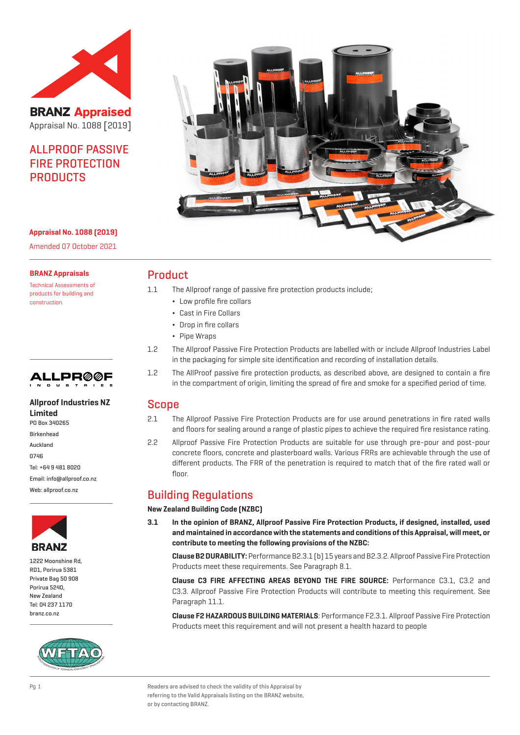

**BRANZ Appraised** Appraisal No. 1088 [2019]

# **ALL PROOF PASSIVE** FIRE PROTECTION PRODUCTS



#### **Appraisal No. 1088 (2019)**

Amended 07 October 2021

#### **BRANZ Appraisals**

Technical Assessments of products for building and construction.



#### **Allproof Industries NZ Limited**

PO Box 340265 Birkenhead

Auckland

0746

Tel: +64 9 481 8020 Email: info@allproof.co.nz

Web: allproof.co.nz



1222 Moonshine Rd, RD1, Porirua 5381 Private Bag 50 908 Porirua 5240, New Zealand Tel: 04 237 1170 branz.co.nz



### Product

- 1.1 The Allproof range of passive fire protection products include;
	- ¬ Low profile fire collars
	- ¬ Cast in Fire Collars
	- ¬ Drop in fire collars
	- ¬ Pipe Wraps
- 1.2 The Allproof Passive Fire Protection Products are labelled with or include Allproof Industries Label in the packaging for simple site identification and recording of installation details.
- 1.2 The AllProof passive fire protection products, as described above, are designed to contain a fire in the compartment of origin, limiting the spread of fire and smoke for a specified period of time.

#### Scope

- 2.1 The Allproof Passive Fire Protection Products are for use around penetrations in fire rated walls and floors for sealing around a range of plastic pipes to achieve the required fire resistance rating.
- 2.2 Allproof Passive Fire Protection Products are suitable for use through pre-pour and post-pour concrete floors, concrete and plasterboard walls. Various FRRs are achievable through the use of different products. The FRR of the penetration is required to match that of the fire rated wall or floor.

## Building Regulations

#### **New Zealand Building Code (NZBC)**

**3.1 In the opinion of BRANZ, Allproof Passive Fire Protection Products, if designed, installed, used and maintained in accordance with the statements and conditions of this Appraisal, will meet, or contribute to meeting the following provisions of the NZBC:**

**Clause B2 DURABILITY:** Performance B2.3.1 (b) 15 years and B2.3.2. Allproof Passive Fire Protection Products meet these requirements. See Paragraph 8.1.

**Clause C3 FIRE AFFECTING AREAS BEYOND THE FIRE SOURCE:** Performance C3.1, C3.2 and C3.3. Allproof Passive Fire Protection Products will contribute to meeting this requirement. See Paragraph 11.1.

**Clause F2 HAZARDOUS BUILDING MATERIALS**: Performance F2.3.1. Allproof Passive Fire Protection Products meet this requirement and will not present a health hazard to people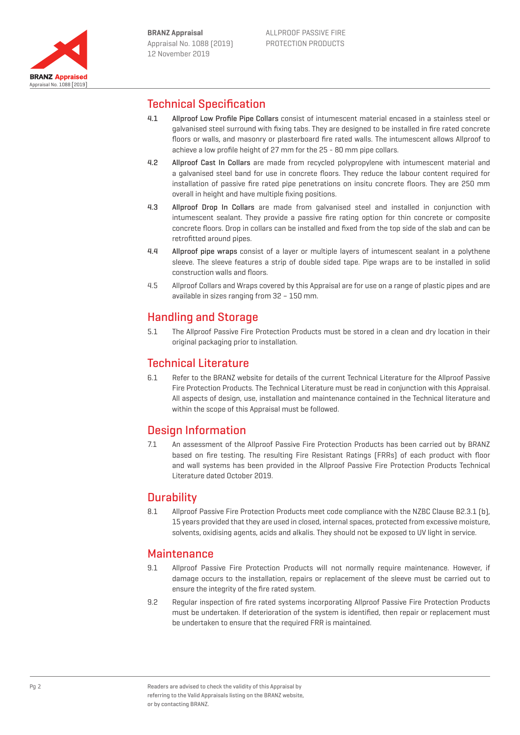

## Technical Specification

- 4.1 Allproof Low Profile Pipe Collars consist of intumescent material encased in a stainless steel or galvanised steel surround with fixing tabs. They are designed to be installed in fire rated concrete floors or walls, and masonry or plasterboard fire rated walls. The intumescent allows Allproof to achieve a low profile height of 27 mm for the 25 - 80 mm pipe collars.
- 4.2 Allproof Cast In Collars are made from recycled polypropylene with intumescent material and a galvanised steel band for use in concrete floors. They reduce the labour content required for installation of passive fire rated pipe penetrations on insitu concrete floors. They are 250 mm overall in height and have multiple fixing positions.
- 4.3 Allproof Drop In Collars are made from galvanised steel and installed in conjunction with intumescent sealant. They provide a passive fire rating option for thin concrete or composite concrete floors. Drop in collars can be installed and fixed from the top side of the slab and can be retrofitted around pipes.
- 4.4 Allproof pipe wraps consist of a layer or multiple layers of intumescent sealant in a polythene sleeve. The sleeve features a strip of double sided tape. Pipe wraps are to be installed in solid construction walls and floors.
- 4.5 Allproof Collars and Wraps covered by this Appraisal are for use on a range of plastic pipes and are available in sizes ranging from 32 – 150 mm.

## Handling and Storage

5.1 The Allproof Passive Fire Protection Products must be stored in a clean and dry location in their original packaging prior to installation.

### Technical Literature

6.1 Refer to the BRANZ website for details of the current Technical Literature for the Allproof Passive Fire Protection Products. The Technical Literature must be read in conjunction with this Appraisal. All aspects of design, use, installation and maintenance contained in the Technical literature and within the scope of this Appraisal must be followed.

### Design Information

7.1 An assessment of the Allproof Passive Fire Protection Products has been carried out by BRANZ based on fire testing. The resulting Fire Resistant Ratings (FRRs) of each product with floor and wall systems has been provided in the Allproof Passive Fire Protection Products Technical Literature dated October 2019.

### **Durability**

8.1 Allproof Passive Fire Protection Products meet code compliance with the NZBC Clause B2.3.1 (b), 15 years provided that they are used in closed, internal spaces, protected from excessive moisture, solvents, oxidising agents, acids and alkalis. They should not be exposed to UV light in service.

### **Maintenance**

- 9.1 Allproof Passive Fire Protection Products will not normally require maintenance. However, if damage occurs to the installation, repairs or replacement of the sleeve must be carried out to ensure the integrity of the fire rated system.
- 9.2 Regular inspection of fire rated systems incorporating Allproof Passive Fire Protection Products must be undertaken. If deterioration of the system is identified, then repair or replacement must be undertaken to ensure that the required FRR is maintained.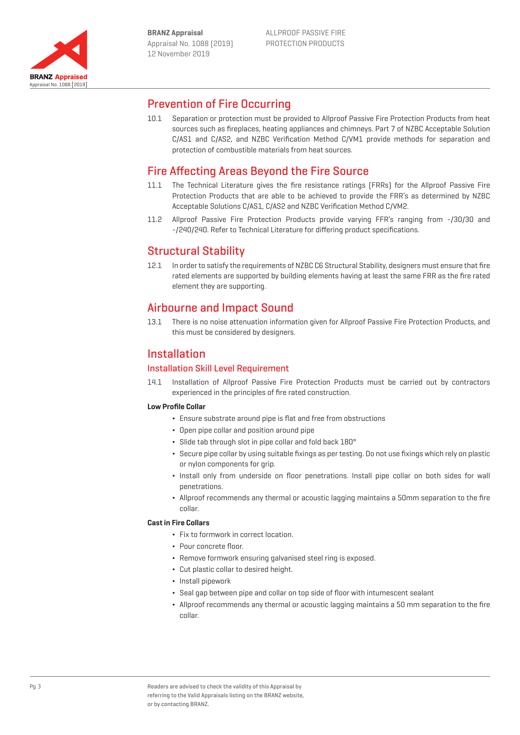

### Prevention of Fire Occurring

10.1 Separation or protection must be provided to Allproof Passive Fire Protection Products from heat sources such as fireplaces, heating appliances and chimneys. Part 7 of NZBC Acceptable Solution C/AS1 and C/AS2, and NZBC Verification Method C/VM1 provide methods for separation and protection of combustible materials from heat sources.

## Fire Affecting Areas Beyond the Fire Source

- 11.1 The Technical Literature gives the fire resistance ratings (FRRs) for the Allproof Passive Fire Protection Products that are able to be achieved to provide the FRR's as determined by NZBC Acceptable Solutions C/AS1, C/AS2 and NZBC Verification Method C/VM2.
- 11.2 Allproof Passive Fire Protection Products provide varying FFR's ranging from -/30/30 and -/240/240. Refer to Technical Literature for differing product specifications.

## Structural Stability

12.1 In order to satisfy the requirements of NZBC C6 Structural Stability, designers must ensure that fire rated elements are supported by building elements having at least the same FRR as the fire rated element they are supporting.

### Airbourne and Impact Sound

13.1 There is no noise attenuation information given for Allproof Passive Fire Protection Products, and this must be considered by designers.

### Installation

#### Installation Skill Level Requirement

14.1 Installation of Allproof Passive Fire Protection Products must be carried out by contractors experienced in the principles of fire rated construction.

#### **Low Profile Collar**

- ¬ Ensure substrate around pipe is flat and free from obstructions
- ¬ Open pipe collar and position around pipe
- ¬ Slide tab through slot in pipe collar and fold back 180°
- ¬ Secure pipe collar by using suitable fixings as per testing. Do not use fixings which rely on plastic or nylon components for grip.
- ¬ Install only from underside on floor penetrations. Install pipe collar on both sides for wall penetrations.
- ¬ Allproof recommends any thermal or acoustic lagging maintains a 50mm separation to the fire collar.

#### **Cast in Fire Collars**

- ¬ Fix to formwork in correct location.
- ¬ Pour concrete floor.
- ¬ Remove formwork ensuring galvanised steel ring is exposed.
- ¬ Cut plastic collar to desired height.
- Install pipework
- ¬ Seal gap between pipe and collar on top side of floor with intumescent sealant
- ¬ Allproof recommends any thermal or acoustic lagging maintains a 50 mm separation to the fire collar.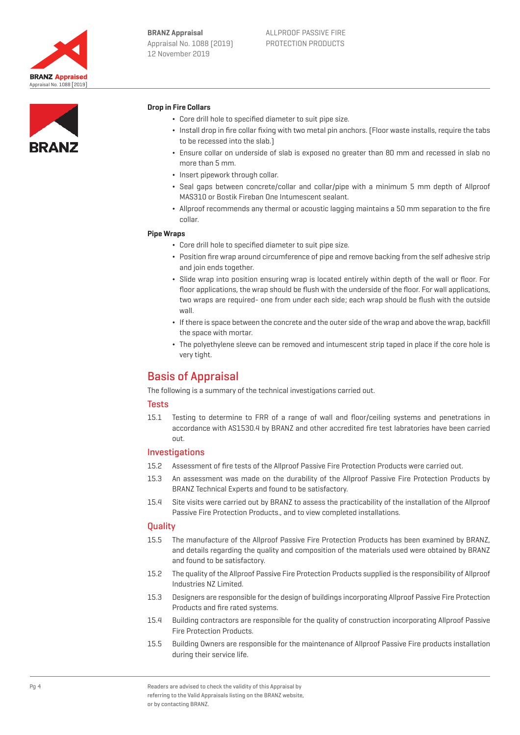



#### **Drop in Fire Collars**

- ¬ Core drill hole to specified diameter to suit pipe size.
- ¬ Install drop in fire collar fixing with two metal pin anchors. (Floor waste installs, require the tabs to be recessed into the slab.)
- ¬ Ensure collar on underside of slab is exposed no greater than 80 mm and recessed in slab no more than 5 mm.
- Insert pipework through collar.
- ¬ Seal gaps between concrete/collar and collar/pipe with a minimum 5 mm depth of Allproof MAS310 or Bostik Fireban One Intumescent sealant.
- ¬ Allproof recommends any thermal or acoustic lagging maintains a 50 mm separation to the fire collar.

#### **Pipe Wraps**

- ¬ Core drill hole to specified diameter to suit pipe size.
- ¬ Position fire wrap around circumference of pipe and remove backing from the self adhesive strip and join ends together.
- ¬ Slide wrap into position ensuring wrap is located entirely within depth of the wall or floor. For floor applications, the wrap should be flush with the underside of the floor. For wall applications, two wraps are required- one from under each side; each wrap should be flush with the outside wall.
- ¬ If there is space between the concrete and the outer side of the wrap and above the wrap, backfill the space with mortar.
- ¬ The polyethylene sleeve can be removed and intumescent strip taped in place if the core hole is very tight.

### Basis of Appraisal

The following is a summary of the technical investigations carried out.

#### **Tests**

15.1 Testing to determine to FRR of a range of wall and floor/ceiling systems and penetrations in accordance with AS1530.4 by BRANZ and other accredited fire test labratories have been carried out.

#### Investigations

- 15.2 Assessment of fire tests of the Allproof Passive Fire Protection Products were carried out.
- 15.3 An assessment was made on the durability of the Allproof Passive Fire Protection Products by BRANZ Technical Experts and found to be satisfactory.
- 15.4 Site visits were carried out by BRANZ to assess the practicability of the installation of the Allproof Passive Fire Protection Products., and to view completed installations.

#### **Quality**

- 15.5 The manufacture of the Allproof Passive Fire Protection Products has been examined by BRANZ, and details regarding the quality and composition of the materials used were obtained by BRANZ and found to be satisfactory.
- 15.2 The quality of the Allproof Passive Fire Protection Products supplied is the responsibility of Allproof Industries NZ Limited.
- 15.3 Designers are responsible for the design of buildings incorporating Allproof Passive Fire Protection Products and fire rated systems.
- 15.4 Building contractors are responsible for the quality of construction incorporating Allproof Passive Fire Protection Products.
- 15.5 Building Owners are responsible for the maintenance of Allproof Passive Fire products installation during their service life.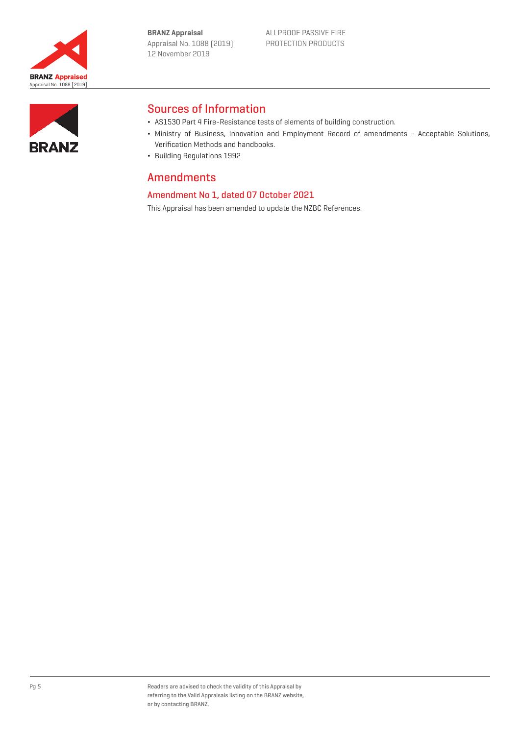**BRANZ Appraisal** Appraisal No. 1088 (2019) 12 November 2019





## Sources of Information

- ¬ AS1530 Part 4 Fire-Resistance tests of elements of building construction.
- ¬ Ministry of Business, Innovation and Employment Record of amendments Acceptable Solutions, Verification Methods and handbooks.
- ¬ Building Regulations 1992

### Amendments

### Amendment No 1, dated 07 October 2021

This Appraisal has been amended to update the NZBC References.